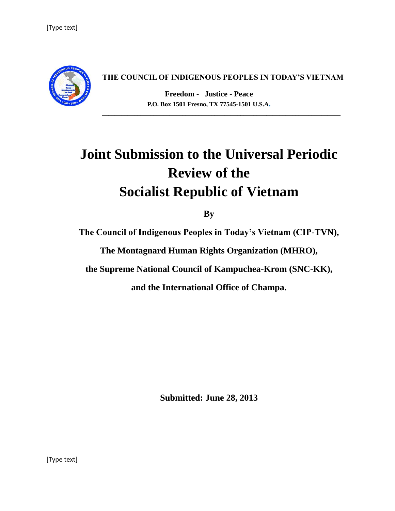

#### **THE COUNCIL OF INDIGENOUS PEOPLES IN TODAY'S VIETNAM**

**Freedom - Justice - Peace P.O. Box 1501 Fresno, TX 77545-1501 U.S.A.**

# **Joint Submission to the Universal Periodic Review of the Socialist Republic of Vietnam**

**By**

**The Council of Indigenous Peoples in Today's Vietnam (CIP-TVN),**

**The Montagnard Human Rights Organization (MHRO),**

**the Supreme National Council of Kampuchea-Krom (SNC-KK),**

**and the International Office of Champa.**

**Submitted: June 28, 2013**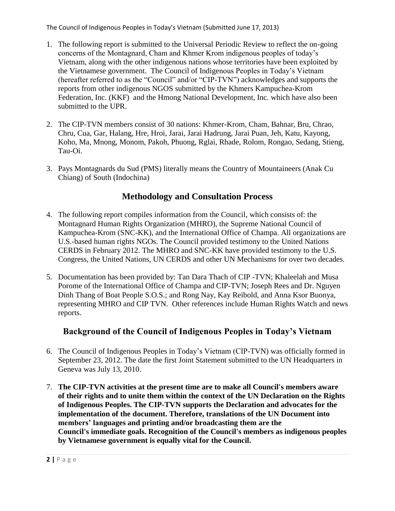- 1. The following report is submitted to the Universal Periodic Review to reflect the on-going concerns of the Montagnard, Cham and Khmer Krom indigenous peoples of today's Vietnam, along with the other indigenous nations whose territories have been exploited by the Vietnamese government. The Council of Indigenous Peoples in Today's Vietnam (hereafter referred to as the "Council" and/or "CIP-TVN") acknowledges and supports the reports from other indigenous NGOS submitted by the Khmers Kampuchea-Krom Federation, Inc. (KKF) and the Hmong National Development, Inc. which have also been submitted to the UPR.
- 2. The CIP-TVN members consist of 30 nations: Khmer-Krom, Cham, Bahnar, Bru, Chrao, Chru, Cua, Gar, Halang, Hre, Hroi, Jarai, Jarai Hadrung, Jarai Puan, Jeh, Katu, Kayong, Koho, Ma, Mnong, Monom, Pakoh, Phuong, Rglai, Rhade, Rolom, Rongao, Sedang, Stieng, Tau-Oi.
- 3. Pays Montagnards du Sud (PMS) literally means the Country of Mountaineers (Anak Cu Chiang) of South (Indochina)

## **Methodology and Consultation Process**

- 4. The following report compiles information from the Council, which consists of: the Montagnard Human Rights Organization (MHRO), the Supreme National Council of Kampuchea-Krom (SNC-KK), and the International Office of Champa. All organizations are U.S.-based human rights NGOs. The Council provided testimony to the United Nations CERDS in February 2012. The MHRO and SNC-KK have provided testimony to the U.S. Congress, the United Nations, UN CERDS and other UN Mechanisms for over two decades*.*
- 5. Documentation has been provided by: Tan Dara Thach of CIP -TVN; Khaleelah and Musa Porome of the International Office of Champa and CIP-TVN; Joseph Rees and Dr. Nguyen Dinh Thang of Boat People S.O.S.; and Rong Nay, Kay Reibold, and Anna Ksor Buonya, representing MHRO and CIP TVN. Other references include Human Rights Watch and news reports.

## **Background of the Council of Indigenous Peoples in Today's Vietnam**

- 6. The Council of Indigenous Peoples in Today's Vietnam (CIP-TVN) was officially formed in September 23, 2012. The date the first Joint Statement submitted to the UN Headquarters in Geneva was July 13, 2010.
- 7. **The CIP-TVN activities at the present time are to make all Council's members aware of their rights and to unite them within the context of the UN Declaration on the Rights of Indigenous Peoples. The CIP-TVN supports the Declaration and advocates for the implementation of the document. Therefore, translations of the UN Document into members' languages and printing and/or broadcasting them are the Council's immediate goals. Recognition of the Council's members as indigenous peoples by Vietnamese government is equally vital for the Council.**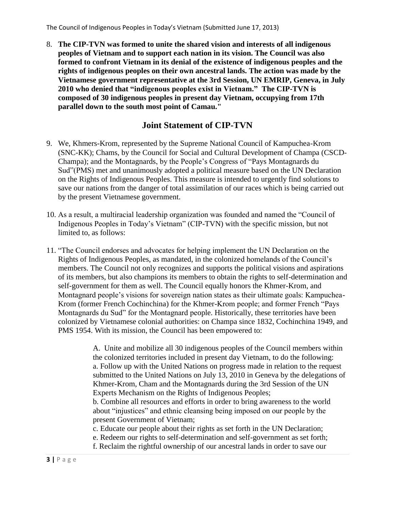8. **The CIP-TVN was formed to unite the shared vision and interests of all indigenous peoples of Vietnam and to support each nation in its vision. The Council was also formed to confront Vietnam in its denial of the existence of indigenous peoples and the rights of indigenous peoples on their own ancestral lands. The action was made by the Vietnamese government representative at the 3rd Session, UN EMRIP, Geneva, in July 2010 who denied that "indigenous peoples exist in Vietnam." The CIP-TVN is composed of 30 indigenous peoples in present day Vietnam, occupying from 17th parallel down to the south most point of Camau."**

### **Joint Statement of CIP-TVN**

- 9. We, Khmers-Krom, represented by the Supreme National Council of Kampuchea-Krom (SNC-KK); Chams, by the Council for Social and Cultural Development of Champa (CSCD-Champa); and the Montagnards, by the People's Congress of "Pays Montagnards du Sud"(PMS) met and unanimously adopted a political measure based on the UN Declaration on the Rights of Indigenous Peoples. This measure is intended to urgently find solutions to save our nations from the danger of total assimilation of our races which is being carried out by the present Vietnamese government.
- 10. As a result, a multiracial leadership organization was founded and named the "Council of Indigenous Peoples in Today's Vietnam" (CIP-TVN) with the specific mission, but not limited to, as follows:
- 11. "The Council endorses and advocates for helping implement the UN Declaration on the Rights of Indigenous Peoples, as mandated, in the colonized homelands of the Council's members. The Council not only recognizes and supports the political visions and aspirations of its members, but also champions its members to obtain the rights to self-determination and self-government for them as well. The Council equally honors the Khmer-Krom, and Montagnard people's visions for sovereign nation states as their ultimate goals: Kampuchea-Krom (former French Cochinchina) for the Khmer-Krom people; and former French "Pays Montagnards du Sud" for the Montagnard people. Historically, these territories have been colonized by Vietnamese colonial authorities: on Champa since 1832, Cochinchina 1949, and PMS 1954. With its mission, the Council has been empowered to:

A. Unite and mobilize all 30 indigenous peoples of the Council members within the colonized territories included in present day Vietnam, to do the following: a. Follow up with the United Nations on progress made in relation to the request submitted to the United Nations on July 13, 2010 in Geneva by the delegations of Khmer-Krom, Cham and the Montagnards during the 3rd Session of the UN Experts Mechanism on the Rights of Indigenous Peoples;

b. Combine all resources and efforts in order to bring awareness to the world about "injustices" and ethnic cleansing being imposed on our people by the present Government of Vietnam;

c. Educate our people about their rights as set forth in the UN Declaration;

- e. Redeem our rights to self-determination and self-government as set forth;
- f. Reclaim the rightful ownership of our ancestral lands in order to save our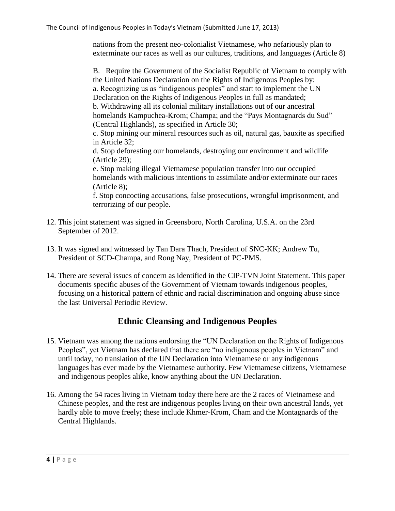nations from the present neo-colonialist Vietnamese, who nefariously plan to exterminate our races as well as our cultures, traditions, and languages (Article 8)

B. Require the Government of the Socialist Republic of Vietnam to comply with the United Nations Declaration on the Rights of Indigenous Peoples by: a. Recognizing us as "indigenous peoples" and start to implement the UN Declaration on the Rights of Indigenous Peoples in full as mandated; b. Withdrawing all its colonial military installations out of our ancestral homelands Kampuchea-Krom; Champa; and the "Pays Montagnards du Sud" (Central Highlands), as specified in Article 30; c. Stop mining our mineral resources such as oil, natural gas, bauxite as specified in Article 32; d. Stop deforesting our homelands, destroying our environment and wildlife (Article 29); e. Stop making illegal Vietnamese population transfer into our occupied homelands with malicious intentions to assimilate and/or exterminate our races (Article 8); f. Stop concocting accusations, false prosecutions, wrongful imprisonment, and terrorizing of our people.

- 12. This joint statement was signed in Greensboro, North Carolina, U.S.A. on the 23rd September of 2012.
- 13. It was signed and witnessed by Tan Dara Thach, President of SNC-KK; Andrew Tu, President of SCD-Champa, and Rong Nay, President of PC-PMS.
- 14. There are several issues of concern as identified in the CIP-TVN Joint Statement. This paper documents specific abuses of the Government of Vietnam towards indigenous peoples, focusing on a historical pattern of ethnic and racial discrimination and ongoing abuse since the last Universal Periodic Review.

#### **Ethnic Cleansing and Indigenous Peoples**

- 15. Vietnam was among the nations endorsing the "UN Declaration on the Rights of Indigenous Peoples", yet Vietnam has declared that there are "no indigenous peoples in Vietnam" and until today, no translation of the UN Declaration into Vietnamese or any indigenous languages has ever made by the Vietnamese authority. Few Vietnamese citizens, Vietnamese and indigenous peoples alike, know anything about the UN Declaration.
- 16. Among the 54 races living in Vietnam today there here are the 2 races of Vietnamese and Chinese peoples, and the rest are indigenous peoples living on their own ancestral lands, yet hardly able to move freely; these include Khmer-Krom, Cham and the Montagnards of the Central Highlands.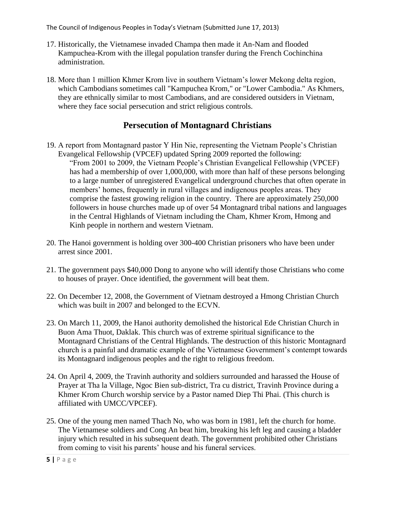- 17. Historically, the Vietnamese invaded Champa then made it An-Nam and flooded Kampuchea-Krom with the illegal population transfer during the French Cochinchina administration.
- 18. More than 1 million Khmer Krom live in southern Vietnam's lower Mekong delta region, which Cambodians sometimes call "Kampuchea Krom," or "Lower Cambodia." As Khmers, they are ethnically similar to most Cambodians, and are considered outsiders in Vietnam, where they face social persecution and strict religious controls.

## **Persecution of Montagnard Christians**

- 19. A report from Montagnard pastor Y Hin Nie, representing the Vietnam People's Christian Evangelical Fellowship (VPCEF) updated Spring 2009 reported the following: "From 2001 to 2009, the Vietnam People's Christian Evangelical Fellowship (VPCEF) has had a membership of over 1,000,000, with more than half of these persons belonging to a large number of unregistered Evangelical underground churches that often operate in members' homes, frequently in rural villages and indigenous peoples areas. They comprise the fastest growing religion in the country. There are approximately 250,000 followers in house churches made up of over 54 Montagnard tribal nations and languages in the Central Highlands of Vietnam including the Cham, Khmer Krom, Hmong and Kinh people in northern and western Vietnam.
- 20. The Hanoi government is holding over 300-400 Christian prisoners who have been under arrest since 2001.
- 21. The government pays \$40,000 Dong to anyone who will identify those Christians who come to houses of prayer. Once identified, the government will beat them.
- 22. On December 12, 2008, the Government of Vietnam destroyed a Hmong Christian Church which was built in 2007 and belonged to the ECVN.
- 23. On March 11, 2009, the Hanoi authority demolished the historical Ede Christian Church in Buon Ama Thuot, Daklak. This church was of extreme spiritual significance to the Montagnard Christians of the Central Highlands. The destruction of this historic Montagnard church is a painful and dramatic example of the Vietnamese Government's contempt towards its Montagnard indigenous peoples and the right to religious freedom.
- 24. On April 4, 2009, the Travinh authority and soldiers surrounded and harassed the House of Prayer at Tha la Village, Ngoc Bien sub-district, Tra cu district, Travinh Province during a Khmer Krom Church worship service by a Pastor named Diep Thi Phai. (This church is affiliated with UMCC/VPCEF).
- 25. One of the young men named Thach No, who was born in 1981, left the church for home. The Vietnamese soldiers and Cong An beat him, breaking his left leg and causing a bladder injury which resulted in his subsequent death. The government prohibited other Christians from coming to visit his parents' house and his funeral services.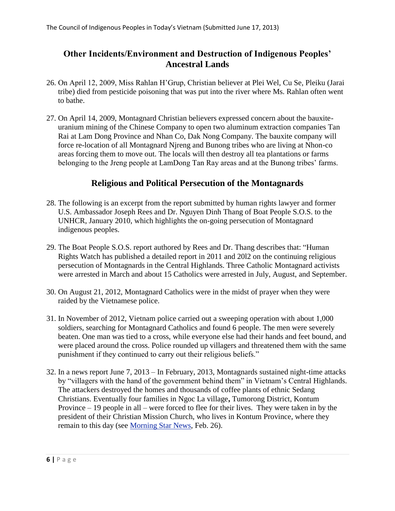#### **Other Incidents/Environment and Destruction of Indigenous Peoples' Ancestral Lands**

- 26. On April 12, 2009, Miss Rahlan H'Grup, Christian believer at Plei Wel, Cu Se, Pleiku (Jarai tribe) died from pesticide poisoning that was put into the river where Ms. Rahlan often went to bathe.
- 27. On April 14, 2009, Montagnard Christian believers expressed concern about the bauxiteuranium mining of the Chinese Company to open two aluminum extraction companies Tan Rai at Lam Dong Province and Nhan Co, Dak Nong Company. The bauxite company will force re-location of all Montagnard Njreng and Bunong tribes who are living at Nhon-co areas forcing them to move out. The locals will then destroy all tea plantations or farms belonging to the Jreng people at LamDong Tan Ray areas and at the Bunong tribes' farms.

### **Religious and Political Persecution of the Montagnards**

- 28. The following is an excerpt from the report submitted by human rights lawyer and former U.S. Ambassador Joseph Rees and Dr. Nguyen Dinh Thang of Boat People S.O.S. to the UNHCR, January 2010, which highlights the on-going persecution of Montagnard indigenous peoples.
- 29. The Boat People S.O.S. report authored by Rees and Dr. Thang describes that: "Human Rights Watch has published a detailed report in 2011 and 20l2 on the continuing religious persecution of Montagnards in the Central Highlands. Three Catholic Montagnard activists were arrested in March and about 15 Catholics were arrested in July, August, and September.
- 30. On August 21, 2012, Montagnard Catholics were in the midst of prayer when they were raided by the Vietnamese police.
- 31. In November of 2012, Vietnam police carried out a sweeping operation with about 1,000 soldiers, searching for Montagnard Catholics and found 6 people. The men were severely beaten. One man was tied to a cross, while everyone else had their hands and feet bound, and were placed around the cross. Police rounded up villagers and threatened them with the same punishment if they continued to carry out their religious beliefs."
- 32. In a news report June 7, 2013 In February, 2013, Montagnards sustained night-time attacks by "villagers with the hand of the government behind them" in Vietnam's Central Highlands. The attackers destroyed the homes and thousands of coffee plants of ethnic Sedang Christians. Eventually four families in Ngoc La village**,** Tumorong District, Kontum Province – 19 people in all – were forced to flee for their lives. They were taken in by the president of their Christian Mission Church, who lives in Kontum Province, where they remain to this day (see [Morning Star News,](http://morningstarnews.us6.list-manage.com/track/click?u=7ec6d7eb2533a90581f839110&id=573e1e3088&e=971c95c6b5) Feb. 26).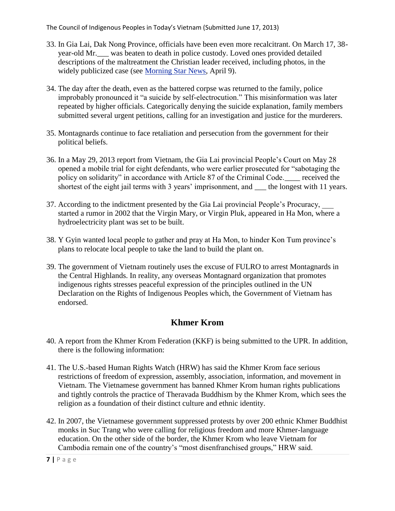- 33. In Gia Lai, Dak Nong Province, officials have been even more recalcitrant. On March 17, 38 year-old Mr.\_\_\_ was beaten to death in police custody. Loved ones provided detailed descriptions of the maltreatment the Christian leader received, including photos, in the widely publicized case (see [Morning Star News,](http://morningstarnews.us6.list-manage.com/track/click?u=7ec6d7eb2533a90581f839110&id=1507b1233f&e=971c95c6b5) April 9).
- 34. The day after the death, even as the battered corpse was returned to the family, police improbably pronounced it "a suicide by self-electrocution." This misinformation was later repeated by higher officials. Categorically denying the suicide explanation, family members submitted several urgent petitions, calling for an investigation and justice for the murderers.
- 35. Montagnards continue to face retaliation and persecution from the government for their political beliefs.
- 36. In a May 29, 2013 report from Vietnam, the Gia Lai provincial People's Court on May 28 opened a mobile trial for eight defendants, who were earlier prosecuted for "sabotaging the policy on solidarity" in accordance with Article 87 of the Criminal Code. received the shortest of the eight jail terms with 3 years' imprisonment, and the longest with 11 years.
- 37. According to the indictment presented by the Gia Lai provincial People's Procuracy, \_\_\_ started a rumor in 2002 that the Virgin Mary, or Virgin Pluk, appeared in Ha Mon, where a hydroelectricity plant was set to be built.
- 38. Y Gyin wanted local people to gather and pray at Ha Mon, to hinder Kon Tum province's plans to relocate local people to take the land to build the plant on.
- 39. The government of Vietnam routinely uses the excuse of FULRO to arrest Montagnards in the Central Highlands. In reality, any overseas Montagnard organization that promotes indigenous rights stresses peaceful expression of the principles outlined in the UN Declaration on the Rights of Indigenous Peoples which, the Government of Vietnam has endorsed.

## **Khmer Krom**

- 40. A report from the Khmer Krom Federation (KKF) is being submitted to the UPR. In addition, there is the following information:
- 41. The U.S.-based Human Rights Watch (HRW) has said the Khmer Krom face serious restrictions of freedom of expression, assembly, association, information, and movement in Vietnam. The Vietnamese government has banned Khmer Krom human rights publications and tightly controls the practice of Theravada Buddhism by the Khmer Krom, which sees the religion as a foundation of their distinct culture and ethnic identity.
- 42. In 2007, the Vietnamese government suppressed protests by over 200 ethnic Khmer Buddhist monks in Suc Trang who were calling for religious freedom and more Khmer-language education. On the other side of the border, the Khmer Krom who leave Vietnam for Cambodia remain one of the country's "most disenfranchised groups," HRW said.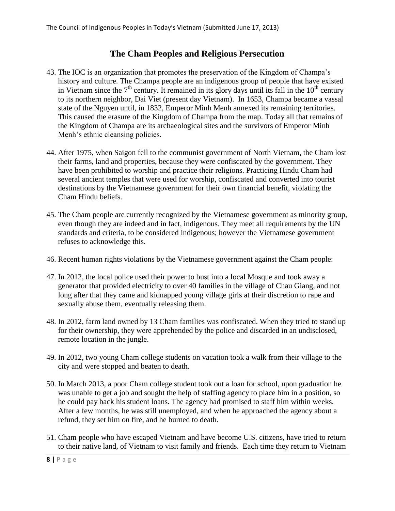## **The Cham Peoples and Religious Persecution**

- 43. The IOC is an organization that promotes the preservation of the Kingdom of Champa's history and culture. The Champa people are an indigenous group of people that have existed in Vietnam since the  $7<sup>th</sup>$  century. It remained in its glory days until its fall in the  $10<sup>th</sup>$  century to its northern neighbor, Dai Viet (present day Vietnam). In 1653, Champa became a vassal state of the Nguyen until, in 1832, Emperor Minh Menh annexed its remaining territories. This caused the erasure of the Kingdom of Champa from the map. Today all that remains of the Kingdom of Champa are its archaeological sites and the survivors of Emperor Minh Menh's ethnic cleansing policies.
- 44. After 1975, when Saigon fell to the communist government of North Vietnam, the Cham lost their farms, land and properties, because they were confiscated by the government. They have been prohibited to worship and practice their religions. Practicing Hindu Cham had several ancient temples that were used for worship, confiscated and converted into tourist destinations by the Vietnamese government for their own financial benefit, violating the Cham Hindu beliefs.
- 45. The Cham people are currently recognized by the Vietnamese government as minority group, even though they are indeed and in fact, indigenous. They meet all requirements by the UN standards and criteria, to be considered indigenous; however the Vietnamese government refuses to acknowledge this.
- 46. Recent human rights violations by the Vietnamese government against the Cham people:
- 47. In 2012, the local police used their power to bust into a local Mosque and took away a generator that provided electricity to over 40 families in the village of Chau Giang, and not long after that they came and kidnapped young village girls at their discretion to rape and sexually abuse them, eventually releasing them.
- 48. In 2012, farm land owned by 13 Cham families was confiscated. When they tried to stand up for their ownership, they were apprehended by the police and discarded in an undisclosed, remote location in the jungle.
- 49. In 2012, two young Cham college students on vacation took a walk from their village to the city and were stopped and beaten to death.
- 50. In March 2013, a poor Cham college student took out a loan for school, upon graduation he was unable to get a job and sought the help of staffing agency to place him in a position, so he could pay back his student loans. The agency had promised to staff him within weeks. After a few months, he was still unemployed, and when he approached the agency about a refund, they set him on fire, and he burned to death.
- 51. Cham people who have escaped Vietnam and have become U.S. citizens, have tried to return to their native land, of Vietnam to visit family and friends. Each time they return to Vietnam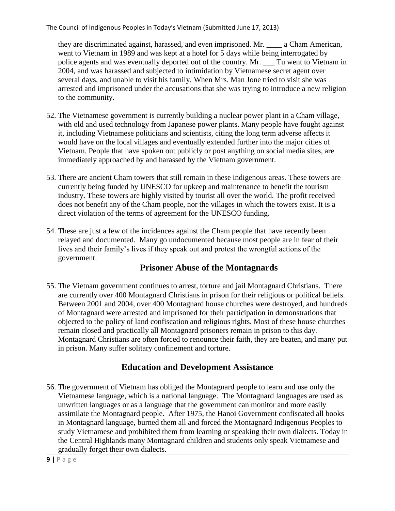they are discriminated against, harassed, and even imprisoned. Mr. \_\_\_\_ a Cham American, went to Vietnam in 1989 and was kept at a hotel for 5 days while being interrogated by police agents and was eventually deported out of the country. Mr. \_\_\_ Tu went to Vietnam in 2004, and was harassed and subjected to intimidation by Vietnamese secret agent over several days, and unable to visit his family. When Mrs. Man Jone tried to visit she was arrested and imprisoned under the accusations that she was trying to introduce a new religion to the community.

- 52. The Vietnamese government is currently building a nuclear power plant in a Cham village, with old and used technology from Japanese power plants. Many people have fought against it, including Vietnamese politicians and scientists, citing the long term adverse affects it would have on the local villages and eventually extended further into the major cities of Vietnam. People that have spoken out publicly or post anything on social media sites, are immediately approached by and harassed by the Vietnam government.
- 53. There are ancient Cham towers that still remain in these indigenous areas. These towers are currently being funded by UNESCO for upkeep and maintenance to benefit the tourism industry. These towers are highly visited by tourist all over the world. The profit received does not benefit any of the Cham people, nor the villages in which the towers exist. It is a direct violation of the terms of agreement for the UNESCO funding.
- 54. These are just a few of the incidences against the Cham people that have recently been relayed and documented. Many go undocumented because most people are in fear of their lives and their family's lives if they speak out and protest the wrongful actions of the government.

## **Prisoner Abuse of the Montagnards**

55. The Vietnam government continues to arrest, torture and jail Montagnard Christians. There are currently over 400 Montagnard Christians in prison for their religious or political beliefs. Between 2001 and 2004, over 400 Montagnard house churches were destroyed, and hundreds of Montagnard were arrested and imprisoned for their participation in demonstrations that objected to the policy of land confiscation and religious rights. Most of these house churches remain closed and practically all Montagnard prisoners remain in prison to this day. Montagnard Christians are often forced to renounce their faith, they are beaten, and many put in prison. Many suffer solitary confinement and torture.

## **Education and Development Assistance**

56. The government of Vietnam has obliged the Montagnard people to learn and use only the Vietnamese language, which is a national language. The Montagnard languages are used as unwritten languages or as a language that the government can monitor and more easily assimilate the Montagnard people. After 1975, the Hanoi Government confiscated all books in Montagnard language, burned them all and forced the Montagnard Indigenous Peoples to study Vietnamese and prohibited them from learning or speaking their own dialects. Today in the Central Highlands many Montagnard children and students only speak Vietnamese and gradually forget their own dialects.